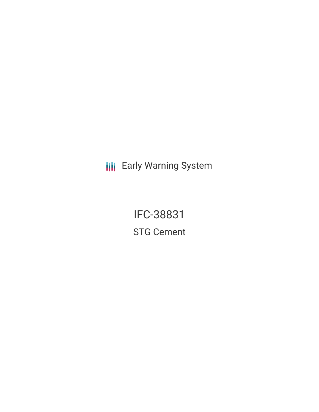**III** Early Warning System

IFC-38831 STG Cement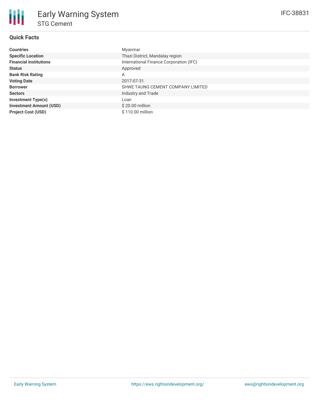# **Quick Facts**

| <b>Countries</b>               | Myanmar                                 |
|--------------------------------|-----------------------------------------|
| <b>Specific Location</b>       | Thazi District, Mandalay region         |
| <b>Financial Institutions</b>  | International Finance Corporation (IFC) |
| <b>Status</b>                  | Approved                                |
| <b>Bank Risk Rating</b>        | Α                                       |
| <b>Voting Date</b>             | 2017-07-31                              |
| <b>Borrower</b>                | SHWE TAUNG CEMENT COMPANY LIMITED       |
| <b>Sectors</b>                 | Industry and Trade                      |
| <b>Investment Type(s)</b>      | Loan                                    |
| <b>Investment Amount (USD)</b> | $$20.00$ million                        |
| <b>Project Cost (USD)</b>      | \$110.00 million                        |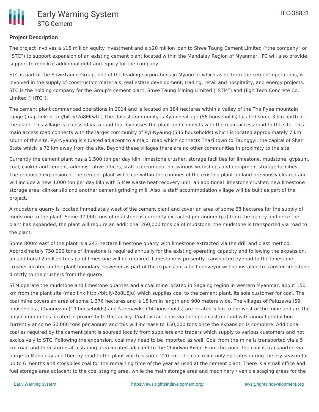

## **Project Description**

The project involves a \$15 million equity investment and a \$20 million loan to Shwe Taung Cement Limited ("the company" or "STC") to support expansion of an existing cement plant located within the Mandalay Region of Myanmar. IFC will also provide support to mobilize additional debt and equity for the company.

STC is part of the ShweTaung Group, one of the leading corporations in Myanmar which aside from the cement operations, is involved in the supply of construction materials, real estate development, trading, retail and hospitality, and energy projects. STC is the holding company for the Group's cement plant, Shwe Taung Mining Limited ("STM") and High Tech Concrete Co. Limited ("HTC").

The cement plant commenced operations in 2014 and is located on 184 hectares within a valley of the Tha Pyae mountain range (map link: http://bit.ly/2o8EKwG ) The closest community is Kyubin village (56 households) located some 3 km north of the plant. This village is accessed via a road that bypasses the plant and connects with the main access road to the site. This main access road connects with the larger community of Pyi-Nyaung (535 households) which is located approximately 7 km south of the site. Pyi-Nyaung is situated adjacent to a major road which connects Thazi town to Taunggyi, the capital of Shan State which is 72 km away from the site. Beyond these villages there are no other communities in proximity to the site.

Currently the cement plant has a 1,500 ton per day kiln, limestone crusher, storage facilities for limestone, mudstone, gypsum, coal, clinker and cement, administrative offices, staff accommodation, various workshops and equipment storage facilities. The proposed expansion of the cement plant will occur within the confines of the existing plant on land previously cleared and will include a new 4,000 ton per day kiln with 5 MW waste heat recovery unit, an additional limestone crusher, new limestone storage area, clinker silo and another cement grinding mill. Also, a staff accommodation village will be built as part of the project.

A mudstone quarry is located immediately west of the cement plant and cover an area of some 68 hectares for the supply of mudstone to the plant. Some 97,000 tons of mudstone is currently extracted per annum (pa) from the quarry and once the plant has expanded, the plant will require an additional 260,000 tons pa of mudstone; the mudstone is transported via road to the plant.

Some 800m east of the plant is a 243-hectare limestone quarry with limestone extracted via the drill and blast method. Approximately 750,000 tons of limestone is required annually for the existing operating capacity and following the expansion, an additional 2 million tons pa of limestone will be required. Limestone is presently transported by road to the limestone crusher located on the plant boundary, however as part of the expansion, a belt conveyor will be installed to transfer limestone directly to the crushers from the quarry.

STM operate the mudstone and limestone quarries and a coal mine located in Sagaing region in western Myanmar, about 150 km from the plant site (map link:http://bit.ly/2o8U8Ju) which supplies coal to the cement plant, its sole customer for coal. The coal mine covers an area of some 1,376 hectares and is 15 km in length and 900 meters wide. The villages of Paluzawa (59 households), Chaungzon (19 households) and Nanmawke (14 households) are located 5 km to the west of the mine and are the only communities located in proximity to the facility. Coal extraction is via the open cast method with annual production currently at some 60,000 tons per annum and this will increase to 150,000 tons once the expansion is complete. Additional coal as required by the cement plant is sourced locally from suppliers and traders which supply to various customers and not exclusively to STC. Following the expansion, coal may need to be imported as well. Coal from the mine is transported via a 5 km road and then stored at a staging area located adjacent to the Chindwin River. From this point the coal is transported via barge to Mandalay and then by road to the plant which is some 220 km. The coal mine only operates during the dry season for up to 6 months and stockpiles coal for the remaining time of the year as used at the cement plant. There is a small office and fuel storage area adjacent to the coal staging area, while the main storage area and machinery / vehicle staging areas for the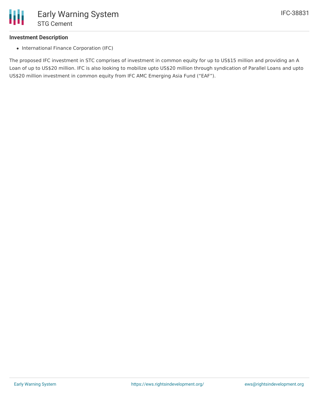

### **Investment Description**

• International Finance Corporation (IFC)

The proposed IFC investment in STC comprises of investment in common equity for up to US\$15 million and providing an A Loan of up to US\$20 million. IFC is also looking to mobilize upto US\$20 million through syndication of Parallel Loans and upto US\$20 million investment in common equity from IFC AMC Emerging Asia Fund ("EAF").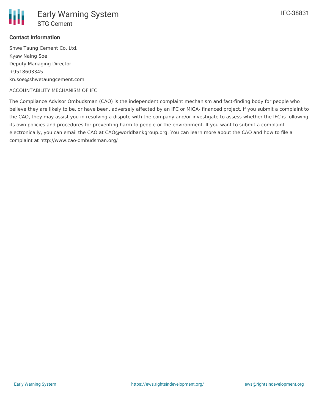

### **Contact Information**

Shwe Taung Cement Co. Ltd. Kyaw Naing Soe Deputy Managing Director +9518603345 kn.soe@shwetaungcement.com

#### ACCOUNTABILITY MECHANISM OF IFC

The Compliance Advisor Ombudsman (CAO) is the independent complaint mechanism and fact-finding body for people who believe they are likely to be, or have been, adversely affected by an IFC or MIGA- financed project. If you submit a complaint to the CAO, they may assist you in resolving a dispute with the company and/or investigate to assess whether the IFC is following its own policies and procedures for preventing harm to people or the environment. If you want to submit a complaint electronically, you can email the CAO at CAO@worldbankgroup.org. You can learn more about the CAO and how to file a complaint at http://www.cao-ombudsman.org/